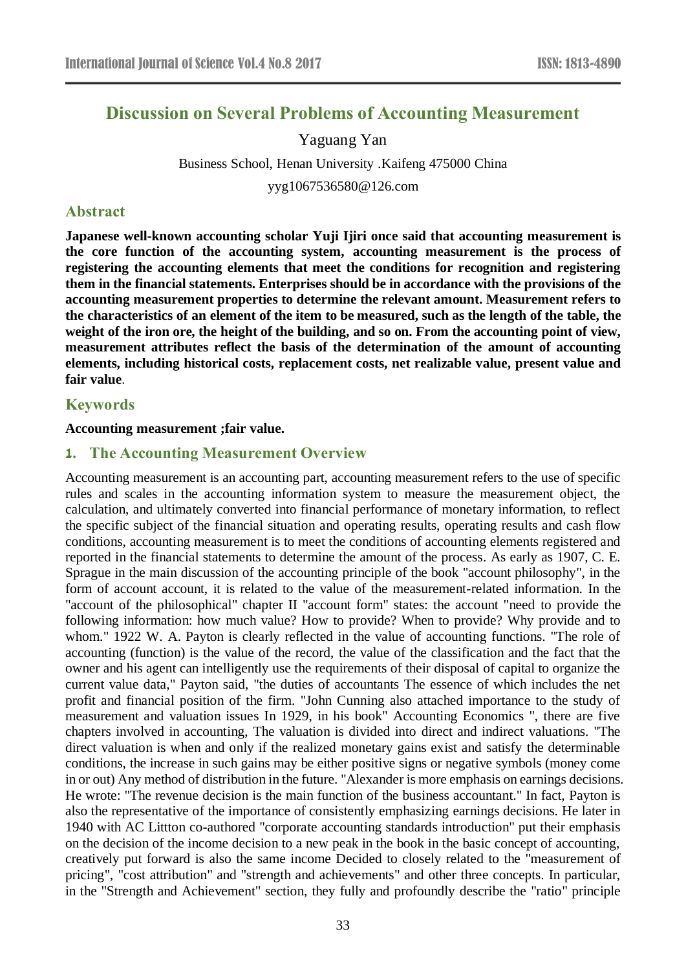# **Discussion on Several Problems of Accounting Measurement**

### Yaguang Yan

Business School, Henan University .Kaifeng 475000 China yyg1067536580@126.com

### **Abstract**

**Japanese well-known accounting scholar Yuji Ijiri once said that accounting measurement is the core function of the accounting system, accounting measurement is the process of registering the accounting elements that meet the conditions for recognition and registering them in the financial statements. Enterprises should be in accordance with the provisions of the accounting measurement properties to determine the relevant amount. Measurement refers to the characteristics of an element of the item to be measured, such as the length of the table, the weight of the iron ore, the height of the building, and so on. From the accounting point of view, measurement attributes reflect the basis of the determination of the amount of accounting elements, including historical costs, replacement costs, net realizable value, present value and fair value**.

### **Keywords**

#### **Accounting measurement ;fair value.**

### **1. The Accounting Measurement Overview**

Accounting measurement is an accounting part, accounting measurement refers to the use of specific rules and scales in the accounting information system to measure the measurement object, the calculation, and ultimately converted into financial performance of monetary information, to reflect the specific subject of the financial situation and operating results, operating results and cash flow conditions, accounting measurement is to meet the conditions of accounting elements registered and reported in the financial statements to determine the amount of the process. As early as 1907, C. E. Sprague in the main discussion of the accounting principle of the book "account philosophy", in the form of account account, it is related to the value of the measurement-related information. In the "account of the philosophical" chapter II "account form" states: the account "need to provide the following information: how much value? How to provide? When to provide? Why provide and to whom." 1922 W. A. Payton is clearly reflected in the value of accounting functions. "The role of accounting (function) is the value of the record, the value of the classification and the fact that the owner and his agent can intelligently use the requirements of their disposal of capital to organize the current value data," Payton said, "the duties of accountants The essence of which includes the net profit and financial position of the firm. "John Cunning also attached importance to the study of measurement and valuation issues In 1929, in his book" Accounting Economics ", there are five chapters involved in accounting, The valuation is divided into direct and indirect valuations. "The direct valuation is when and only if the realized monetary gains exist and satisfy the determinable conditions, the increase in such gains may be either positive signs or negative symbols (money come in or out) Any method of distribution in the future. "Alexander is more emphasis on earnings decisions. He wrote: "The revenue decision is the main function of the business accountant." In fact, Payton is also the representative of the importance of consistently emphasizing earnings decisions. He later in 1940 with AC Littton co-authored "corporate accounting standards introduction" put their emphasis on the decision of the income decision to a new peak in the book in the basic concept of accounting, creatively put forward is also the same income Decided to closely related to the "measurement of pricing", "cost attribution" and "strength and achievements" and other three concepts. In particular, in the "Strength and Achievement" section, they fully and profoundly describe the "ratio" principle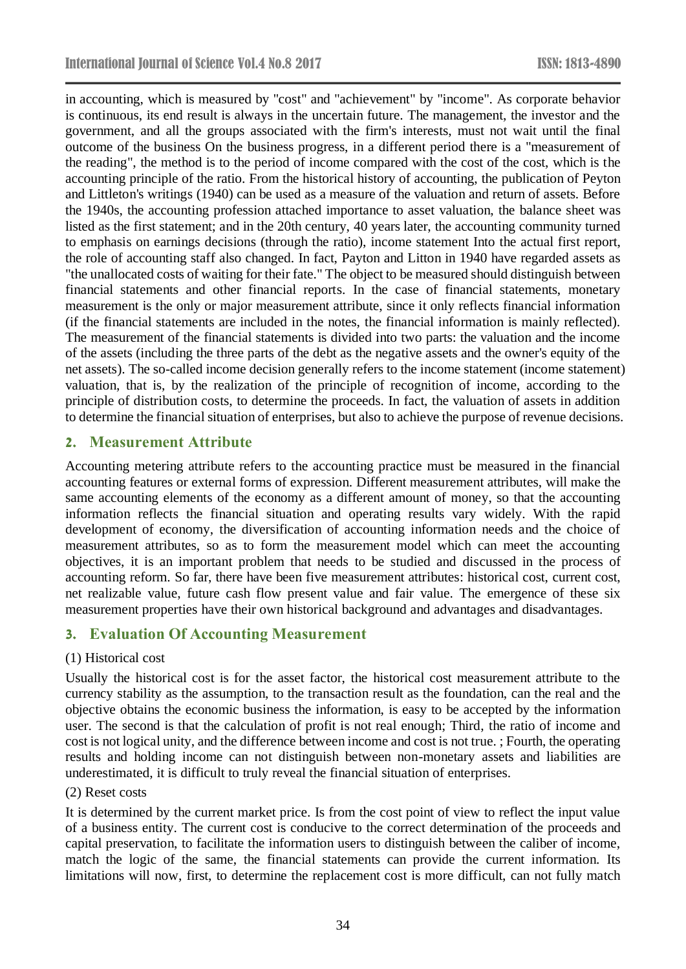in accounting, which is measured by "cost" and "achievement" by "income". As corporate behavior is continuous, its end result is always in the uncertain future. The management, the investor and the government, and all the groups associated with the firm's interests, must not wait until the final outcome of the business On the business progress, in a different period there is a "measurement of the reading", the method is to the period of income compared with the cost of the cost, which is the accounting principle of the ratio. From the historical history of accounting, the publication of Peyton and Littleton's writings (1940) can be used as a measure of the valuation and return of assets. Before the 1940s, the accounting profession attached importance to asset valuation, the balance sheet was listed as the first statement; and in the 20th century, 40 years later, the accounting community turned to emphasis on earnings decisions (through the ratio), income statement Into the actual first report, the role of accounting staff also changed. In fact, Payton and Litton in 1940 have regarded assets as "the unallocated costs of waiting for their fate." The object to be measured should distinguish between financial statements and other financial reports. In the case of financial statements, monetary measurement is the only or major measurement attribute, since it only reflects financial information (if the financial statements are included in the notes, the financial information is mainly reflected). The measurement of the financial statements is divided into two parts: the valuation and the income of the assets (including the three parts of the debt as the negative assets and the owner's equity of the net assets). The so-called income decision generally refers to the income statement (income statement) valuation, that is, by the realization of the principle of recognition of income, according to the principle of distribution costs, to determine the proceeds. In fact, the valuation of assets in addition to determine the financial situation of enterprises, but also to achieve the purpose of revenue decisions.

## **2. Measurement Attribute**

Accounting metering attribute refers to the accounting practice must be measured in the financial accounting features or external forms of expression. Different measurement attributes, will make the same accounting elements of the economy as a different amount of money, so that the accounting information reflects the financial situation and operating results vary widely. With the rapid development of economy, the diversification of accounting information needs and the choice of measurement attributes, so as to form the measurement model which can meet the accounting objectives, it is an important problem that needs to be studied and discussed in the process of accounting reform. So far, there have been five measurement attributes: historical cost, current cost, net realizable value, future cash flow present value and fair value. The emergence of these six measurement properties have their own historical background and advantages and disadvantages.

## **3. Evaluation Of Accounting Measurement**

## (1) Historical cost

Usually the historical cost is for the asset factor, the historical cost measurement attribute to the currency stability as the assumption, to the transaction result as the foundation, can the real and the objective obtains the economic business the information, is easy to be accepted by the information user. The second is that the calculation of profit is not real enough; Third, the ratio of income and cost is not logical unity, and the difference between income and cost is not true. ; Fourth, the operating results and holding income can not distinguish between non-monetary assets and liabilities are underestimated, it is difficult to truly reveal the financial situation of enterprises.

### (2) Reset costs

It is determined by the current market price. Is from the cost point of view to reflect the input value of a business entity. The current cost is conducive to the correct determination of the proceeds and capital preservation, to facilitate the information users to distinguish between the caliber of income, match the logic of the same, the financial statements can provide the current information. Its limitations will now, first, to determine the replacement cost is more difficult, can not fully match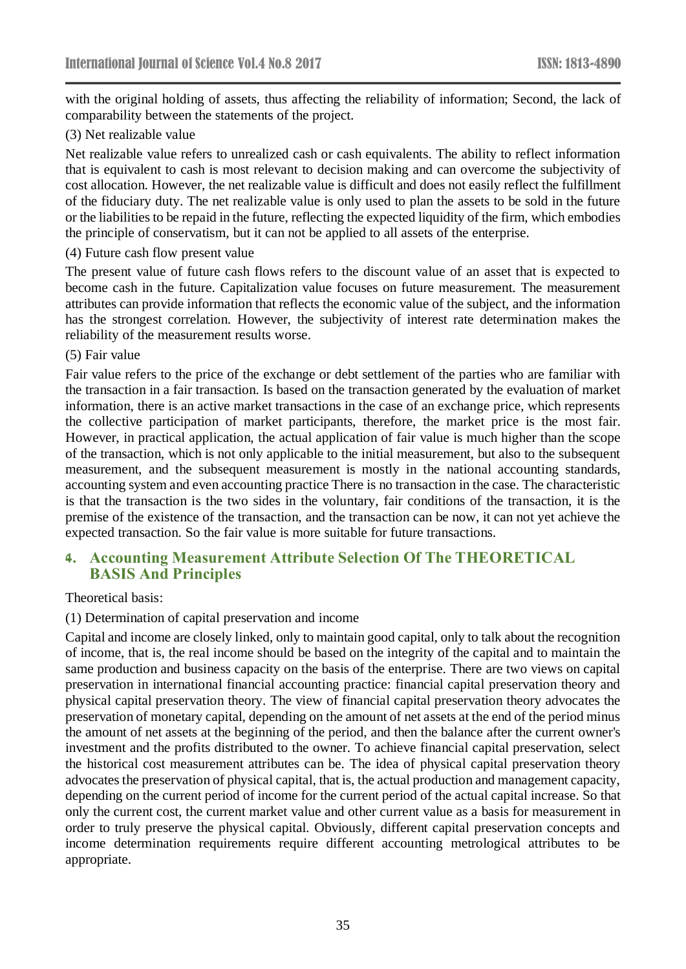with the original holding of assets, thus affecting the reliability of information; Second, the lack of comparability between the statements of the project.

### (3) Net realizable value

Net realizable value refers to unrealized cash or cash equivalents. The ability to reflect information that is equivalent to cash is most relevant to decision making and can overcome the subjectivity of cost allocation. However, the net realizable value is difficult and does not easily reflect the fulfillment of the fiduciary duty. The net realizable value is only used to plan the assets to be sold in the future or the liabilities to be repaid in the future, reflecting the expected liquidity of the firm, which embodies the principle of conservatism, but it can not be applied to all assets of the enterprise.

#### (4) Future cash flow present value

The present value of future cash flows refers to the discount value of an asset that is expected to become cash in the future. Capitalization value focuses on future measurement. The measurement attributes can provide information that reflects the economic value of the subject, and the information has the strongest correlation. However, the subjectivity of interest rate determination makes the reliability of the measurement results worse.

#### (5) Fair value

Fair value refers to the price of the exchange or debt settlement of the parties who are familiar with the transaction in a fair transaction. Is based on the transaction generated by the evaluation of market information, there is an active market transactions in the case of an exchange price, which represents the collective participation of market participants, therefore, the market price is the most fair. However, in practical application, the actual application of fair value is much higher than the scope of the transaction, which is not only applicable to the initial measurement, but also to the subsequent measurement, and the subsequent measurement is mostly in the national accounting standards, accounting system and even accounting practice There is no transaction in the case. The characteristic is that the transaction is the two sides in the voluntary, fair conditions of the transaction, it is the premise of the existence of the transaction, and the transaction can be now, it can not yet achieve the expected transaction. So the fair value is more suitable for future transactions.

## **4. Accounting Measurement Attribute Selection Of The THEORETICAL BASIS And Principles**

#### Theoretical basis:

#### (1) Determination of capital preservation and income

Capital and income are closely linked, only to maintain good capital, only to talk about the recognition of income, that is, the real income should be based on the integrity of the capital and to maintain the same production and business capacity on the basis of the enterprise. There are two views on capital preservation in international financial accounting practice: financial capital preservation theory and physical capital preservation theory. The view of financial capital preservation theory advocates the preservation of monetary capital, depending on the amount of net assets at the end of the period minus the amount of net assets at the beginning of the period, and then the balance after the current owner's investment and the profits distributed to the owner. To achieve financial capital preservation, select the historical cost measurement attributes can be. The idea of physical capital preservation theory advocates the preservation of physical capital, that is, the actual production and management capacity, depending on the current period of income for the current period of the actual capital increase. So that only the current cost, the current market value and other current value as a basis for measurement in order to truly preserve the physical capital. Obviously, different capital preservation concepts and income determination requirements require different accounting metrological attributes to be appropriate.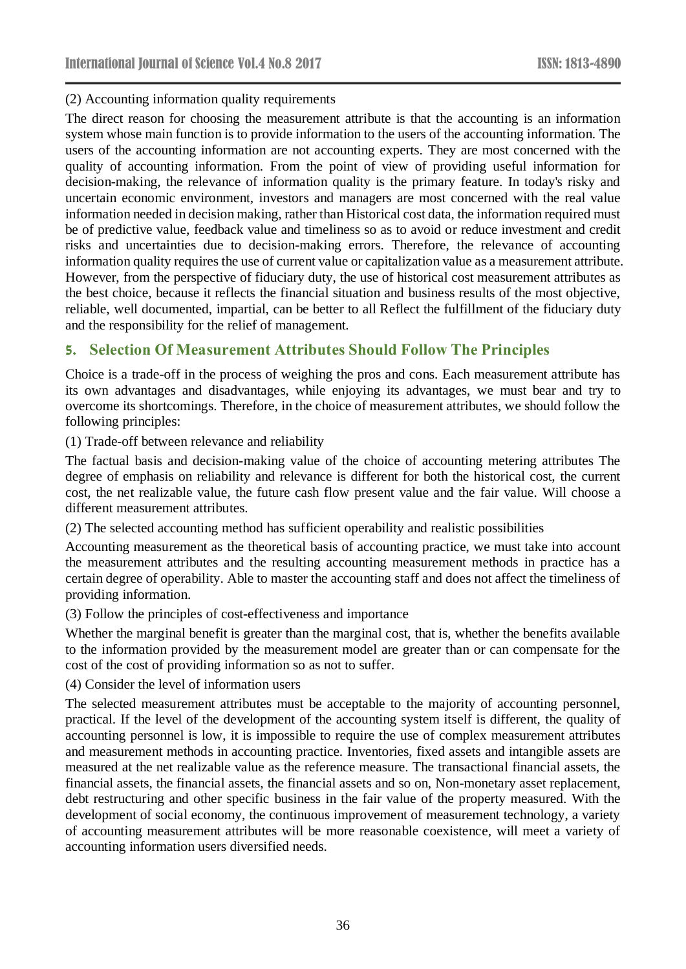(2) Accounting information quality requirements

The direct reason for choosing the measurement attribute is that the accounting is an information system whose main function is to provide information to the users of the accounting information. The users of the accounting information are not accounting experts. They are most concerned with the quality of accounting information. From the point of view of providing useful information for decision-making, the relevance of information quality is the primary feature. In today's risky and uncertain economic environment, investors and managers are most concerned with the real value information needed in decision making, rather than Historical cost data, the information required must be of predictive value, feedback value and timeliness so as to avoid or reduce investment and credit risks and uncertainties due to decision-making errors. Therefore, the relevance of accounting information quality requires the use of current value or capitalization value as a measurement attribute. However, from the perspective of fiduciary duty, the use of historical cost measurement attributes as the best choice, because it reflects the financial situation and business results of the most objective, reliable, well documented, impartial, can be better to all Reflect the fulfillment of the fiduciary duty and the responsibility for the relief of management.

# **5. Selection Of Measurement Attributes Should Follow The Principles**

Choice is a trade-off in the process of weighing the pros and cons. Each measurement attribute has its own advantages and disadvantages, while enjoying its advantages, we must bear and try to overcome its shortcomings. Therefore, in the choice of measurement attributes, we should follow the following principles:

(1) Trade-off between relevance and reliability

The factual basis and decision-making value of the choice of accounting metering attributes The degree of emphasis on reliability and relevance is different for both the historical cost, the current cost, the net realizable value, the future cash flow present value and the fair value. Will choose a different measurement attributes.

(2) The selected accounting method has sufficient operability and realistic possibilities

Accounting measurement as the theoretical basis of accounting practice, we must take into account the measurement attributes and the resulting accounting measurement methods in practice has a certain degree of operability. Able to master the accounting staff and does not affect the timeliness of providing information.

(3) Follow the principles of cost-effectiveness and importance

Whether the marginal benefit is greater than the marginal cost, that is, whether the benefits available to the information provided by the measurement model are greater than or can compensate for the cost of the cost of providing information so as not to suffer.

(4) Consider the level of information users

The selected measurement attributes must be acceptable to the majority of accounting personnel, practical. If the level of the development of the accounting system itself is different, the quality of accounting personnel is low, it is impossible to require the use of complex measurement attributes and measurement methods in accounting practice. Inventories, fixed assets and intangible assets are measured at the net realizable value as the reference measure. The transactional financial assets, the financial assets, the financial assets, the financial assets and so on, Non-monetary asset replacement, debt restructuring and other specific business in the fair value of the property measured. With the development of social economy, the continuous improvement of measurement technology, a variety of accounting measurement attributes will be more reasonable coexistence, will meet a variety of accounting information users diversified needs.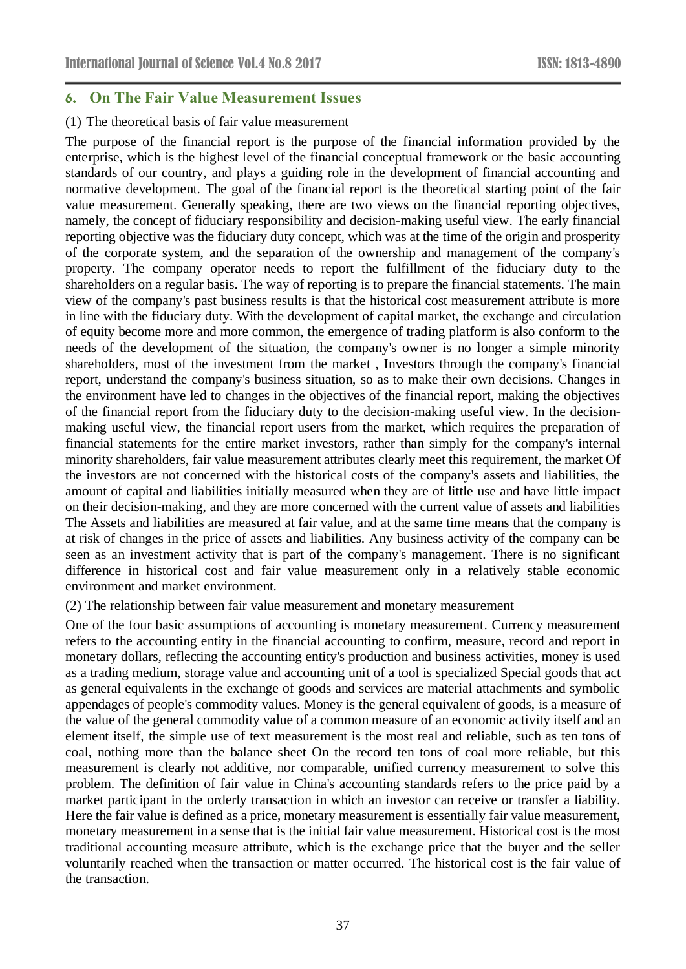### **6. On The Fair Value Measurement Issues**

#### (1) The theoretical basis of fair value measurement

The purpose of the financial report is the purpose of the financial information provided by the enterprise, which is the highest level of the financial conceptual framework or the basic accounting standards of our country, and plays a guiding role in the development of financial accounting and normative development. The goal of the financial report is the theoretical starting point of the fair value measurement. Generally speaking, there are two views on the financial reporting objectives, namely, the concept of fiduciary responsibility and decision-making useful view. The early financial reporting objective was the fiduciary duty concept, which was at the time of the origin and prosperity of the corporate system, and the separation of the ownership and management of the company's property. The company operator needs to report the fulfillment of the fiduciary duty to the shareholders on a regular basis. The way of reporting is to prepare the financial statements. The main view of the company's past business results is that the historical cost measurement attribute is more in line with the fiduciary duty. With the development of capital market, the exchange and circulation of equity become more and more common, the emergence of trading platform is also conform to the needs of the development of the situation, the company's owner is no longer a simple minority shareholders, most of the investment from the market , Investors through the company's financial report, understand the company's business situation, so as to make their own decisions. Changes in the environment have led to changes in the objectives of the financial report, making the objectives of the financial report from the fiduciary duty to the decision-making useful view. In the decisionmaking useful view, the financial report users from the market, which requires the preparation of financial statements for the entire market investors, rather than simply for the company's internal minority shareholders, fair value measurement attributes clearly meet this requirement, the market Of the investors are not concerned with the historical costs of the company's assets and liabilities, the amount of capital and liabilities initially measured when they are of little use and have little impact on their decision-making, and they are more concerned with the current value of assets and liabilities The Assets and liabilities are measured at fair value, and at the same time means that the company is at risk of changes in the price of assets and liabilities. Any business activity of the company can be seen as an investment activity that is part of the company's management. There is no significant difference in historical cost and fair value measurement only in a relatively stable economic environment and market environment.

(2) The relationship between fair value measurement and monetary measurement

One of the four basic assumptions of accounting is monetary measurement. Currency measurement refers to the accounting entity in the financial accounting to confirm, measure, record and report in monetary dollars, reflecting the accounting entity's production and business activities, money is used as a trading medium, storage value and accounting unit of a tool is specialized Special goods that act as general equivalents in the exchange of goods and services are material attachments and symbolic appendages of people's commodity values. Money is the general equivalent of goods, is a measure of the value of the general commodity value of a common measure of an economic activity itself and an element itself, the simple use of text measurement is the most real and reliable, such as ten tons of coal, nothing more than the balance sheet On the record ten tons of coal more reliable, but this measurement is clearly not additive, nor comparable, unified currency measurement to solve this problem. The definition of fair value in China's accounting standards refers to the price paid by a market participant in the orderly transaction in which an investor can receive or transfer a liability. Here the fair value is defined as a price, monetary measurement is essentially fair value measurement, monetary measurement in a sense that is the initial fair value measurement. Historical cost is the most traditional accounting measure attribute, which is the exchange price that the buyer and the seller voluntarily reached when the transaction or matter occurred. The historical cost is the fair value of the transaction.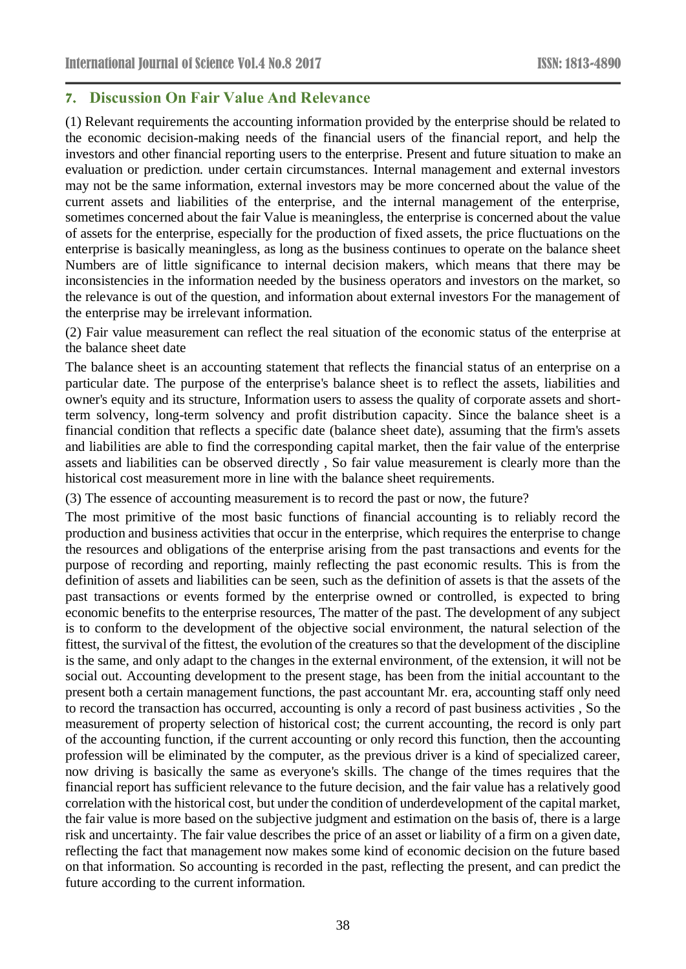## **7. Discussion On Fair Value And Relevance**

(1) Relevant requirements the accounting information provided by the enterprise should be related to the economic decision-making needs of the financial users of the financial report, and help the investors and other financial reporting users to the enterprise. Present and future situation to make an evaluation or prediction. under certain circumstances. Internal management and external investors may not be the same information, external investors may be more concerned about the value of the current assets and liabilities of the enterprise, and the internal management of the enterprise, sometimes concerned about the fair Value is meaningless, the enterprise is concerned about the value of assets for the enterprise, especially for the production of fixed assets, the price fluctuations on the enterprise is basically meaningless, as long as the business continues to operate on the balance sheet Numbers are of little significance to internal decision makers, which means that there may be inconsistencies in the information needed by the business operators and investors on the market, so the relevance is out of the question, and information about external investors For the management of the enterprise may be irrelevant information.

(2) Fair value measurement can reflect the real situation of the economic status of the enterprise at the balance sheet date

The balance sheet is an accounting statement that reflects the financial status of an enterprise on a particular date. The purpose of the enterprise's balance sheet is to reflect the assets, liabilities and owner's equity and its structure, Information users to assess the quality of corporate assets and shortterm solvency, long-term solvency and profit distribution capacity. Since the balance sheet is a financial condition that reflects a specific date (balance sheet date), assuming that the firm's assets and liabilities are able to find the corresponding capital market, then the fair value of the enterprise assets and liabilities can be observed directly , So fair value measurement is clearly more than the historical cost measurement more in line with the balance sheet requirements.

(3) The essence of accounting measurement is to record the past or now, the future?

The most primitive of the most basic functions of financial accounting is to reliably record the production and business activities that occur in the enterprise, which requires the enterprise to change the resources and obligations of the enterprise arising from the past transactions and events for the purpose of recording and reporting, mainly reflecting the past economic results. This is from the definition of assets and liabilities can be seen, such as the definition of assets is that the assets of the past transactions or events formed by the enterprise owned or controlled, is expected to bring economic benefits to the enterprise resources, The matter of the past. The development of any subject is to conform to the development of the objective social environment, the natural selection of the fittest, the survival of the fittest, the evolution of the creatures so that the development of the discipline is the same, and only adapt to the changes in the external environment, of the extension, it will not be social out. Accounting development to the present stage, has been from the initial accountant to the present both a certain management functions, the past accountant Mr. era, accounting staff only need to record the transaction has occurred, accounting is only a record of past business activities , So the measurement of property selection of historical cost; the current accounting, the record is only part of the accounting function, if the current accounting or only record this function, then the accounting profession will be eliminated by the computer, as the previous driver is a kind of specialized career, now driving is basically the same as everyone's skills. The change of the times requires that the financial report has sufficient relevance to the future decision, and the fair value has a relatively good correlation with the historical cost, but under the condition of underdevelopment of the capital market, the fair value is more based on the subjective judgment and estimation on the basis of, there is a large risk and uncertainty. The fair value describes the price of an asset or liability of a firm on a given date, reflecting the fact that management now makes some kind of economic decision on the future based on that information. So accounting is recorded in the past, reflecting the present, and can predict the future according to the current information.